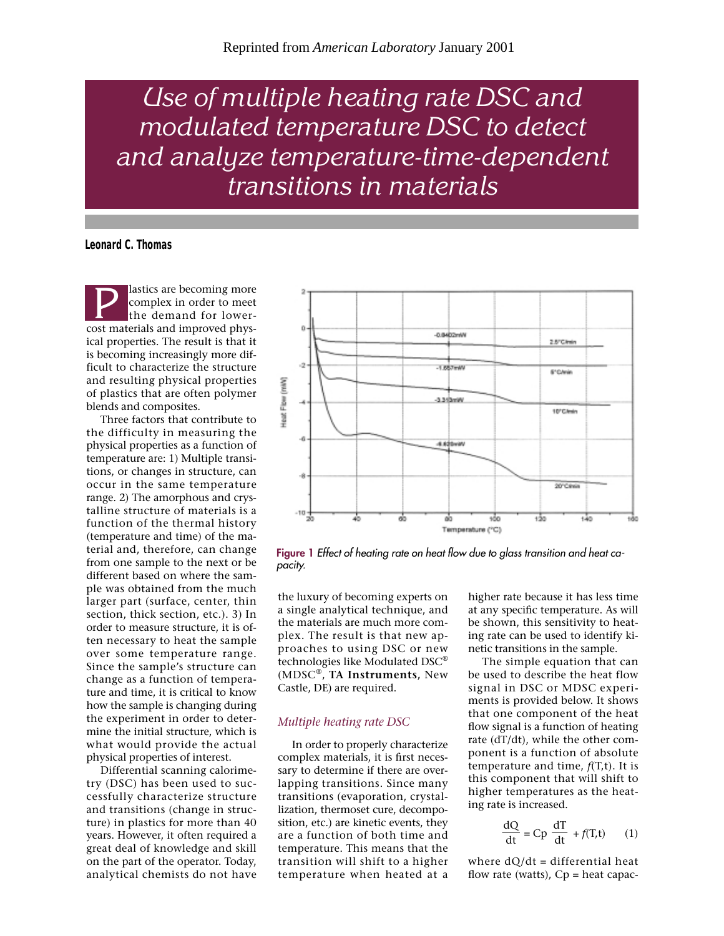*Use of multiple heating rate DSC and modulated temperature DSC to detect and analyze temperature-time-dependent transitions in materials*

**Leonard C. Thomas**

lastics are becoming more complex in order to meet the demand for lower-**Exercise Secoming more**<br>
the demand for lower-<br>
cost materials and improved physical properties. The result is that it is becoming increasingly more difficult to characterize the structure and resulting physical properties of plastics that are often polymer blends and composites.

Three factors that contribute to the difficulty in measuring the physical properties as a function of temperature are: 1) Multiple transitions, or changes in structure, can occur in the same temperature range. 2) The amorphous and crystalline structure of materials is a function of the thermal history (temperature and time) of the material and, therefore, can change from one sample to the next or be different based on where the sample was obtained from the much larger part (surface, center, thin section, thick section, etc.). 3) In order to measure structure, it is often necessary to heat the sample over some temperature range. Since the sample's structure can change as a function of temperature and time, it is critical to know how the sample is changing during the experiment in order to determine the initial structure, which is what would provide the actual physical properties of interest.

Differential scanning calorimetry (DSC) has been used to successfully characterize structure and transitions (change in structure) in plastics for more than 40 years. However, it often required a great deal of knowledge and skill on the part of the operator. Today, analytical chemists do not have



**Figure 1** *Effect of heating rate on heat flow due to glass transition and heat capacity.*

the luxury of becoming experts on a single analytical technique, and the materials are much more complex. The result is that new approaches to using DSC or new technologies like Modulated DSC® (MDSC®, **TA Instruments,** New Castle, DE) are required.

## *Multiple heating rate DSC*

In order to properly characterize complex materials, it is first necessary to determine if there are overlapping transitions. Since many transitions (evaporation, crystallization, thermoset cure, decomposition, etc.) are kinetic events, they are a function of both time and temperature. This means that the transition will shift to a higher temperature when heated at a

higher rate because it has less time at any specific temperature. As will be shown, this sensitivity to heating rate can be used to identify kinetic transitions in the sample.

The simple equation that can be used to describe the heat flow signal in DSC or MDSC experiments is provided below. It shows that one component of the heat flow signal is a function of heating rate (dT/dt), while the other component is a function of absolute temperature and time, *f*(T,t). It is this component that will shift to higher temperatures as the heating rate is increased.

$$
\frac{dQ}{dt} = Cp \frac{dT}{dt} + f(T,t) \qquad (1)
$$

where  $dQ/dt =$  differential heat flow rate (watts),  $Cp$  = heat capac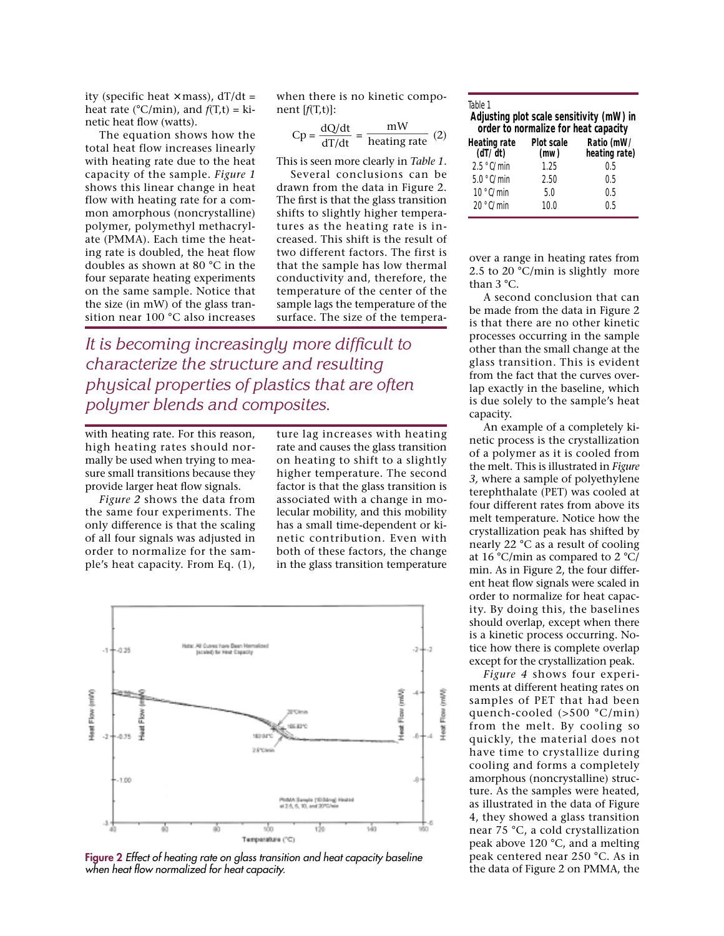ity (specific heat  $\times$  mass),  $dT/dt =$ heat rate ( $^{\circ}$ C/min), and  $f(T,t) = ki$ netic heat flow (watts).

The equation shows how the total heat flow increases linearly with heating rate due to the heat capacity of the sample. *Figure 1* shows this linear change in heat flow with heating rate for a common amorphous (noncrystalline) polymer, polymethyl methacrylate (PMMA). Each time the heating rate is doubled, the heat flow doubles as shown at 80 °C in the four separate heating experiments on the same sample. Notice that the size (in mW) of the glass transition near 100 °C also increases

when there is no kinetic component [*f*(T,t)]:

$$
Cp = \frac{dQ/dt}{dT/dt} = \frac{mW}{heating\ rate} (2)
$$

This is seen more clearly in *Table 1*.

Several conclusions can be drawn from the data in Figure 2. The first is that the glass transition shifts to slightly higher temperatures as the heating rate is increased. This shift is the result of two different factors. The first is that the sample has low thermal conductivity and, therefore, the temperature of the center of the sample lags the temperature of the surface. The size of the tempera-

*It is becoming increasingly more difficult to characterize the structure and resulting physical properties of plastics that are often polymer blends and composites.*

with heating rate. For this reason, high heating rates should normally be used when trying to measure small transitions because they provide larger heat flow signals.

*Figure 2* shows the data from the same four experiments. The only difference is that the scaling of all four signals was adjusted in order to normalize for the sample's heat capacity. From Eq. (1),

ture lag increases with heating rate and causes the glass transition on heating to shift to a slightly higher temperature. The second factor is that the glass transition is associated with a change in molecular mobility, and this mobility has a small time-dependent or kinetic contribution. Even with both of these factors, the change in the glass transition temperature



**Figure 2** *Effect of heating rate on glass transition and heat capacity baseline when heat flow normalized for heat capacity.*

| Table 1<br>Adjusting plot scale sensitivity (mW) in<br>order to normalize for heat capacity |  |  |
|---------------------------------------------------------------------------------------------|--|--|
| Ratio (mW/<br>heating rate)                                                                 |  |  |
| 0.5                                                                                         |  |  |
| 0.5                                                                                         |  |  |
| 0.5                                                                                         |  |  |
| 0.5                                                                                         |  |  |
|                                                                                             |  |  |

over a range in heating rates from 2.5 to 20  $°C/min$  is slightly more than 3 °C.

A second conclusion that can be made from the data in Figure 2 is that there are no other kinetic processes occurring in the sample other than the small change at the glass transition. This is evident from the fact that the curves overlap exactly in the baseline, which is due solely to the sample's heat capacity.

An example of a completely kinetic process is the crystallization of a polymer as it is cooled from the melt. This is illustrated in *Figure 3,* where a sample of polyethylene terephthalate (PET) was cooled at four different rates from above its melt temperature. Notice how the crystallization peak has shifted by nearly 22 °C as a result of cooling at 16 °C/min as compared to 2 °C/ min. As in Figure 2, the four different heat flow signals were scaled in order to normalize for heat capacity. By doing this, the baselines should overlap, except when there is a kinetic process occurring. Notice how there is complete overlap except for the crystallization peak.

*Figure 4* shows four experiments at different heating rates on samples of PET that had been quench-cooled (>500 °C/min) from the melt. By cooling so quickly, the material does not have time to crystallize during cooling and forms a completely amorphous (noncrystalline) structure. As the samples were heated, as illustrated in the data of Figure 4, they showed a glass transition near 75 °C, a cold crystallization peak above 120 °C, and a melting peak centered near 250 °C. As in the data of Figure 2 on PMMA, the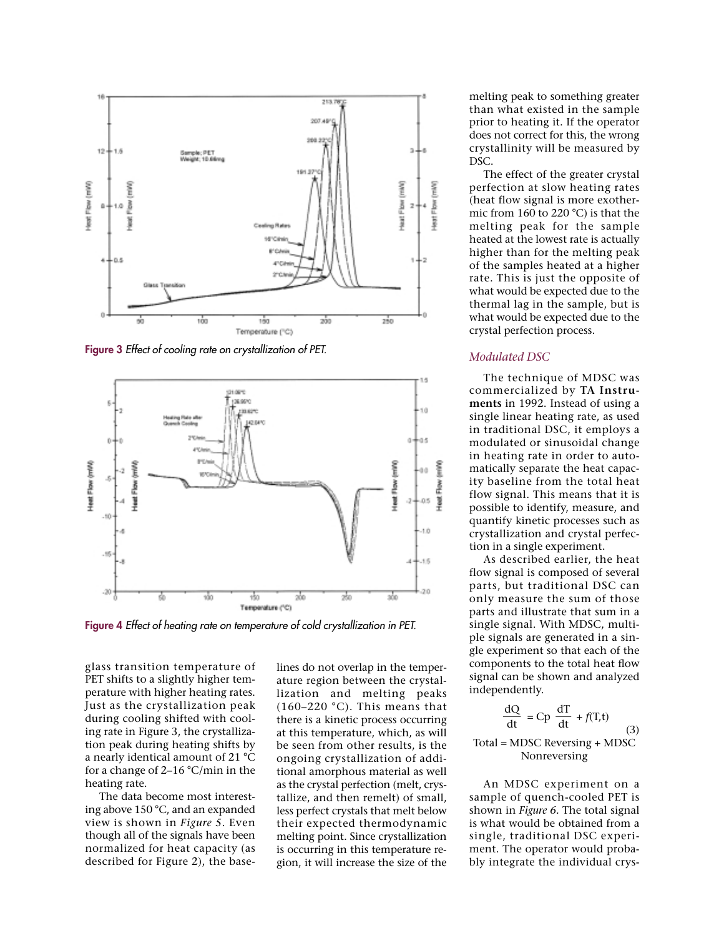

**Figure 3** *Effect of cooling rate on crystallization of PET.*



**Figure 4** *Effect of heating rate on temperature of cold crystallization in PET.*

glass transition temperature of PET shifts to a slightly higher temperature with higher heating rates. Just as the crystallization peak during cooling shifted with cooling rate in Figure 3, the crystallization peak during heating shifts by a nearly identical amount of 21 °C for a change of 2–16 °C/min in the heating rate.

The data become most interesting above 150 °C, and an expanded view is shown in *Figure 5.* Even though all of the signals have been normalized for heat capacity (as described for Figure 2), the base-

lines do not overlap in the temperature region between the crystallization and melting peaks  $(160-220 \degree C)$ . This means that there is a kinetic process occurring at this temperature, which, as will be seen from other results, is the ongoing crystallization of additional amorphous material as well as the crystal perfection (melt, crystallize, and then remelt) of small, less perfect crystals that melt below their expected thermodynamic melting point. Since crystallization is occurring in this temperature region, it will increase the size of the melting peak to something greater than what existed in the sample prior to heating it. If the operator does not correct for this, the wrong crystallinity will be measured by DSC.

The effect of the greater crystal perfection at slow heating rates (heat flow signal is more exothermic from 160 to 220 °C) is that the melting peak for the sample heated at the lowest rate is actually higher than for the melting peak of the samples heated at a higher rate. This is just the opposite of what would be expected due to the thermal lag in the sample, but is what would be expected due to the crystal perfection process.

## *Modulated DSC*

The technique of MDSC was commercialized by **TA Instruments** in 1992. Instead of using a single linear heating rate, as used in traditional DSC, it employs a modulated or sinusoidal change in heating rate in order to automatically separate the heat capacity baseline from the total heat flow signal. This means that it is possible to identify, measure, and quantify kinetic processes such as crystallization and crystal perfection in a single experiment.

As described earlier, the heat flow signal is composed of several parts, but traditional DSC can only measure the sum of those parts and illustrate that sum in a single signal. With MDSC, multiple signals are generated in a single experiment so that each of the components to the total heat flow signal can be shown and analyzed independently.

$$
\frac{dQ}{dt} = Cp \frac{dT}{dt} + f(T,t)
$$
 (3)

Total = MDSC Reversing + MDSC Nonreversing

An MDSC experiment on a sample of quench-cooled PET is shown in *Figure 6.* The total signal is what would be obtained from a single, traditional DSC experiment. The operator would probably integrate the individual crys-